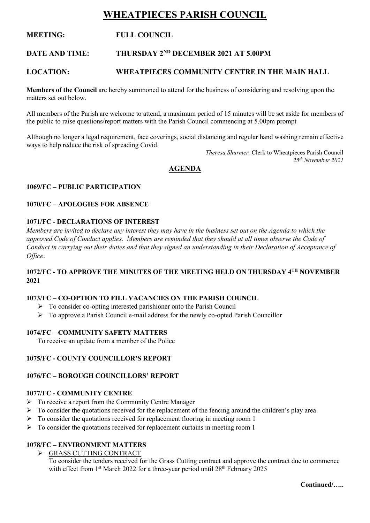# **WHEATPIECES PARISH COUNCIL**

# **MEETING: FULL COUNCIL**

#### **DATE AND TIME: THURSDAY 2ND DECEMBER 2021 AT 5.00PM**

# **LOCATION: WHEATPIECES COMMUNITY CENTRE IN THE MAIN HALL**

**Members of the Council** are hereby summoned to attend for the business of considering and resolving upon the matters set out below.

All members of the Parish are welcome to attend, a maximum period of 15 minutes will be set aside for members of the public to raise questions/report matters with the Parish Council commencing at 5.00pm prompt

Although no longer a legal requirement, face coverings, social distancing and regular hand washing remain effective ways to help reduce the risk of spreading Covid.

> *Theresa Shurmer,* Clerk to Wheatpieces Parish Council *25th November 2021*

# **AGENDA**

#### **1069/FC – PUBLIC PARTICIPATION**

#### **1070/FC – APOLOGIES FOR ABSENCE**

#### **1071/FC - DECLARATIONS OF INTEREST**

*Members are invited to declare any interest they may have in the business set out on the Agenda to which the approved Code of Conduct applies. Members are reminded that they should at all times observe the Code of Conduct in carrying out their duties and that they signed an understanding in their Declaration of Acceptance of Office*.

# **1072/FC - TO APPROVE THE MINUTES OF THE MEETING HELD ON THURSDAY 4 TH NOVEMBER 2021**

#### **1073/FC – CO-OPTION TO FILL VACANCIES ON THE PARISH COUNCIL**

- ➢ To consider co-opting interested parishioner onto the Parish Council
- ➢ To approve a Parish Council e-mail address for the newly co-opted Parish Councillor

#### **1074/FC – COMMUNITY SAFETY MATTERS**

To receive an update from a member of the Police

#### **1075/FC - COUNTY COUNCILLOR'S REPORT**

#### **1076/FC – BOROUGH COUNCILLORS' REPORT**

### **1077/FC - COMMUNITY CENTRE**

- $\triangleright$  To receive a report from the Community Centre Manager
- $\triangleright$  To consider the quotations received for the replacement of the fencing around the children's play area
- $\triangleright$  To consider the quotations received for replacement flooring in meeting room 1
- $\triangleright$  To consider the quotations received for replacement curtains in meeting room 1

# **1078/FC – ENVIRONMENT MATTERS**

➢ GRASS CUTTING CONTRACT

To consider the tenders received for the Grass Cutting contract and approve the contract due to commence with effect from 1<sup>st</sup> March 2022 for a three-year period until 28<sup>th</sup> February 2025

**Continued/…..**